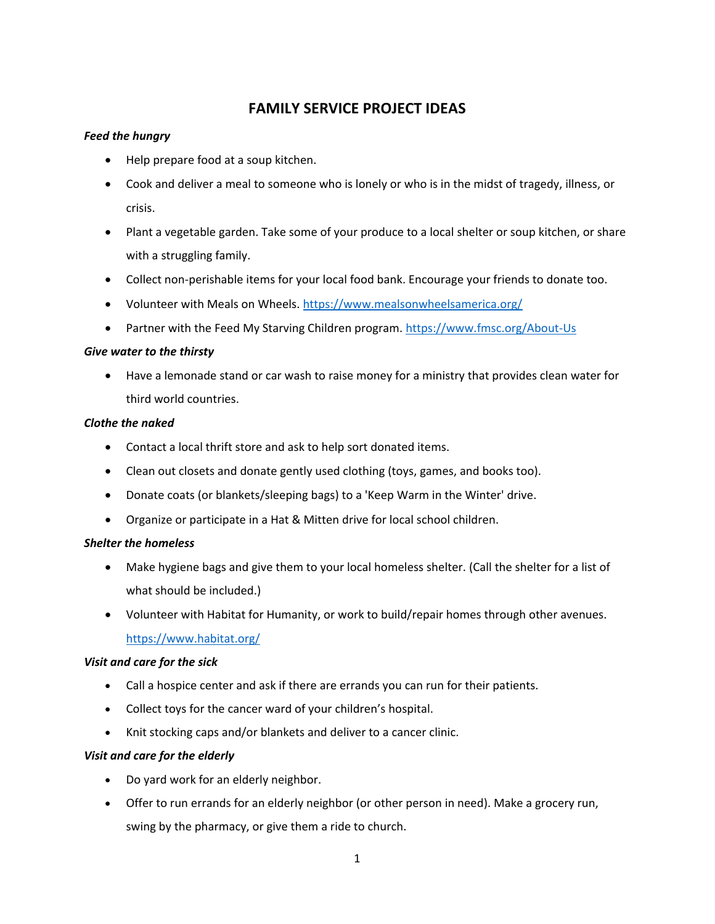# **FAMILY SERVICE PROJECT IDEAS**

## *Feed the hungry*

- Help prepare food at a soup kitchen.
- Cook and deliver a meal to someone who is lonely or who is in the midst of tragedy, illness, or crisis.
- Plant a vegetable garden. Take some of your produce to a local shelter or soup kitchen, or share with a struggling family.
- Collect non-perishable items for your local food bank. Encourage your friends to donate too.
- Volunteer with Meals on Wheels. <https://www.mealsonwheelsamerica.org/>
- Partner with the Feed My Starving Children program.<https://www.fmsc.org/About-Us>

## *Give water to the thirsty*

 Have a lemonade stand or car wash to raise money for a ministry that provides clean water for third world countries.

#### *Clothe the naked*

- Contact a local thrift store and ask to help sort donated items.
- Clean out closets and donate gently used clothing (toys, games, and books too).
- Donate coats (or blankets/sleeping bags) to a 'Keep Warm in the Winter' drive.
- Organize or participate in a Hat & Mitten drive for local school children.

## *Shelter the homeless*

- Make hygiene bags and give them to your local homeless shelter. (Call the shelter for a list of what should be included.)
- Volunteer with Habitat for Humanity, or work to build/repair homes through other avenues. <https://www.habitat.org/>

## *Visit and care for the sick*

- Call a hospice center and ask if there are errands you can run for their patients.
- Collect toys for the cancer ward of your children's hospital.
- Knit stocking caps and/or blankets and deliver to a cancer clinic.

## *Visit and care for the elderly*

- Do yard work for an elderly neighbor.
- Offer to run errands for an elderly neighbor (or other person in need). Make a grocery run, swing by the pharmacy, or give them a ride to church.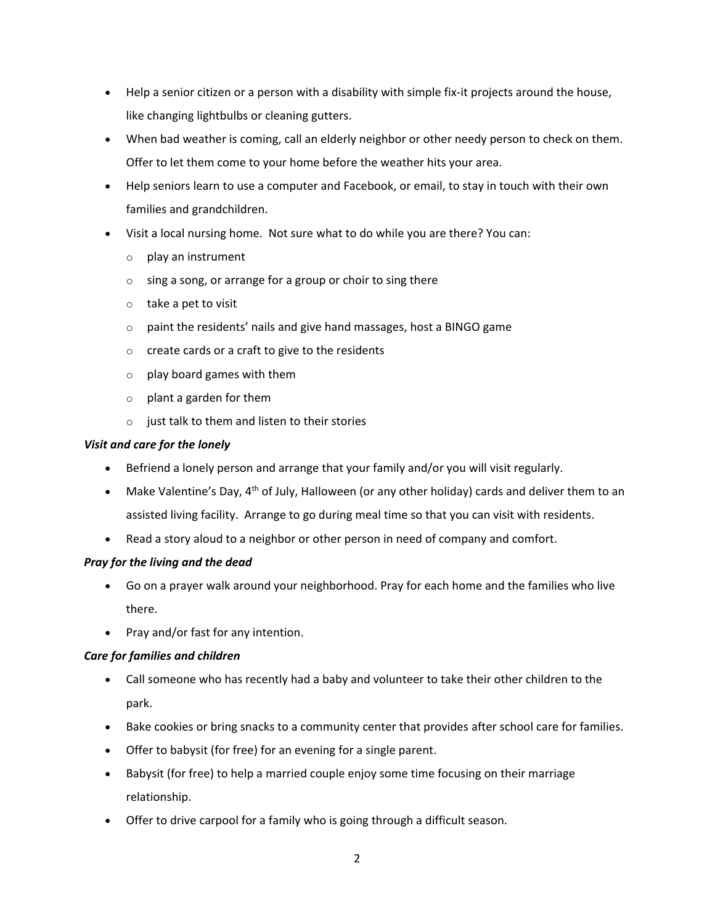- Help a senior citizen or a person with a disability with simple fix-it projects around the house, like changing lightbulbs or cleaning gutters.
- When bad weather is coming, call an elderly neighbor or other needy person to check on them. Offer to let them come to your home before the weather hits your area.
- Help seniors learn to use a computer and Facebook, or email, to stay in touch with their own families and grandchildren.
- Visit a local nursing home. Not sure what to do while you are there? You can:
	- o play an instrument
	- $\circ$  sing a song, or arrange for a group or choir to sing there
	- o take a pet to visit
	- o paint the residents' nails and give hand massages, host a BINGO game
	- o create cards or a craft to give to the residents
	- o play board games with them
	- o plant a garden for them
	- $\circ$  just talk to them and listen to their stories

## *Visit and care for the lonely*

- Befriend a lonely person and arrange that your family and/or you will visit regularly.
- Make Valentine's Day,  $4<sup>th</sup>$  of July, Halloween (or any other holiday) cards and deliver them to an assisted living facility. Arrange to go during meal time so that you can visit with residents.
- Read a story aloud to a neighbor or other person in need of company and comfort.

## *Pray for the living and the dead*

- Go on a prayer walk around your neighborhood. Pray for each home and the families who live there.
- Pray and/or fast for any intention.

## *Care for families and children*

- Call someone who has recently had a baby and volunteer to take their other children to the park.
- Bake cookies or bring snacks to a community center that provides after school care for families.
- Offer to babysit (for free) for an evening for a single parent.
- Babysit (for free) to help a married couple enjoy some time focusing on their marriage relationship.
- Offer to drive carpool for a family who is going through a difficult season.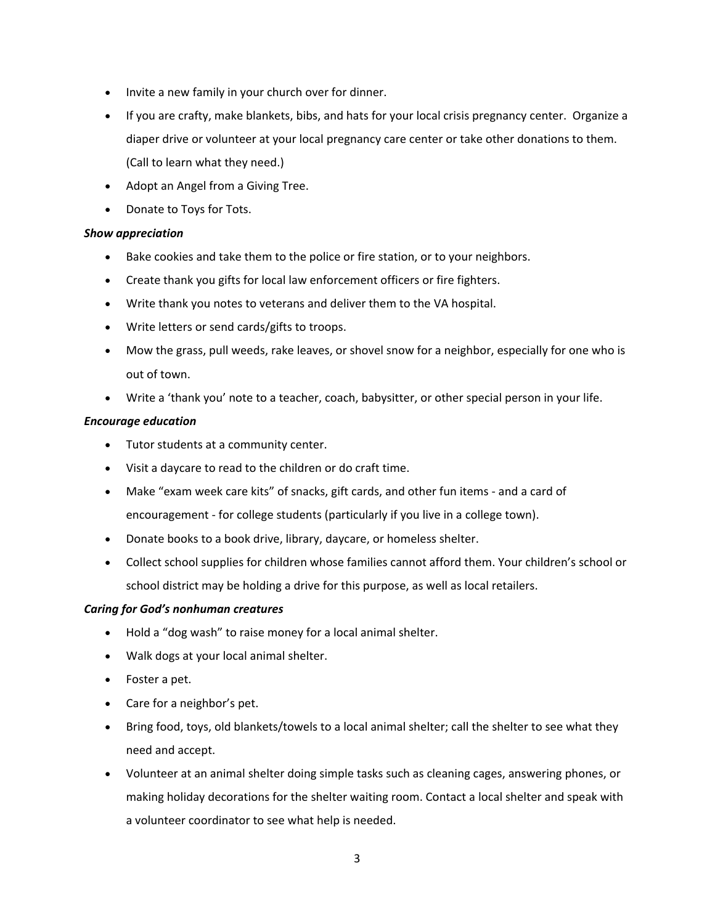- Invite a new family in your church over for dinner.
- If you are crafty, make blankets, bibs, and hats for your local crisis pregnancy center. Organize a diaper drive or volunteer at your local pregnancy care center or take other donations to them. (Call to learn what they need.)
- Adopt an Angel from a Giving Tree.
- Donate to Toys for Tots.

#### *Show appreciation*

- Bake cookies and take them to the police or fire station, or to your neighbors.
- Create thank you gifts for local law enforcement officers or fire fighters.
- Write thank you notes to veterans and deliver them to the VA hospital.
- Write letters or send cards/gifts to troops.
- Mow the grass, pull weeds, rake leaves, or shovel snow for a neighbor, especially for one who is out of town.
- Write a 'thank you' note to a teacher, coach, babysitter, or other special person in your life.

#### *Encourage education*

- Tutor students at a community center.
- Visit a daycare to read to the children or do craft time.
- Make "exam week care kits" of snacks, gift cards, and other fun items and a card of encouragement - for college students (particularly if you live in a college town).
- Donate books to a book drive, library, daycare, or homeless shelter.
- Collect school supplies for children whose families cannot afford them. Your children's school or school district may be holding a drive for this purpose, as well as local retailers.

## *Caring for God's nonhuman creatures*

- Hold a "dog wash" to raise money for a local animal shelter.
- Walk dogs at your local animal shelter.
- Foster a pet.
- Care for a neighbor's pet.
- Bring food, toys, old blankets/towels to a local animal shelter; call the shelter to see what they need and accept.
- Volunteer at an animal shelter doing simple tasks such as cleaning cages, answering phones, or making holiday decorations for the shelter waiting room. Contact a local shelter and speak with a volunteer coordinator to see what help is needed.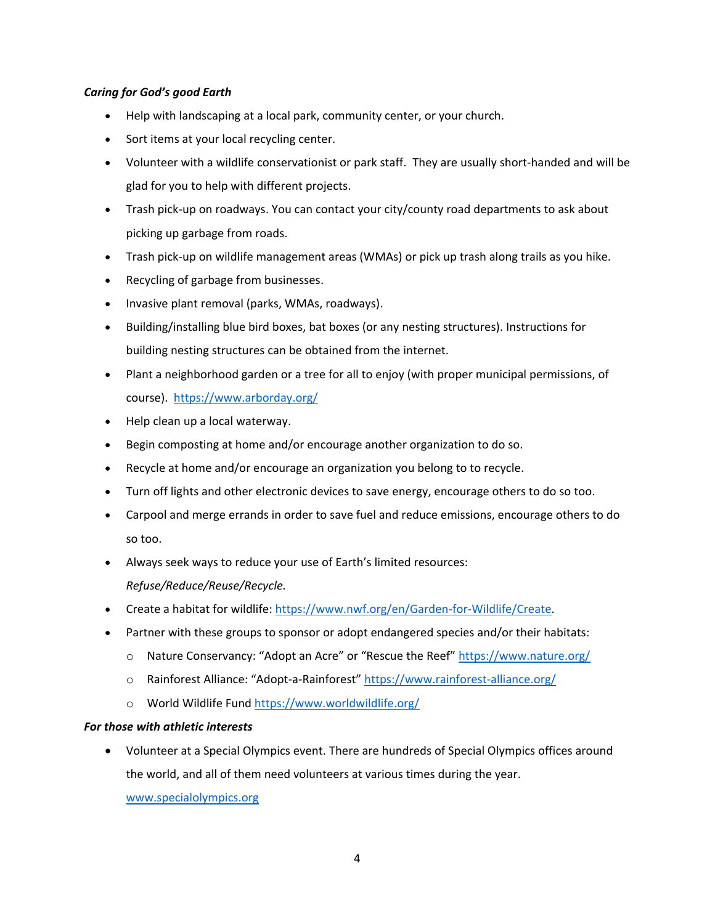## *Caring for God's good Earth*

- Help with landscaping at a local park, community center, or your church.
- Sort items at your local recycling center.
- Volunteer with a wildlife conservationist or park staff. They are usually short-handed and will be glad for you to help with different projects.
- Trash pick-up on roadways. You can contact your city/county road departments to ask about picking up garbage from roads.
- Trash pick-up on wildlife management areas (WMAs) or pick up trash along trails as you hike.
- Recycling of garbage from businesses.
- Invasive plant removal (parks, WMAs, roadways).
- Building/installing blue bird boxes, bat boxes (or any nesting structures). Instructions for building nesting structures can be obtained from the internet.
- Plant a neighborhood garden or a tree for all to enjoy (with proper municipal permissions, of course). <https://www.arborday.org/>
- Help clean up a local waterway.
- Begin composting at home and/or encourage another organization to do so.
- Recycle at home and/or encourage an organization you belong to to recycle.
- Turn off lights and other electronic devices to save energy, encourage others to do so too.
- Carpool and merge errands in order to save fuel and reduce emissions, encourage others to do so too.
- Always seek ways to reduce your use of Earth's limited resources: *Refuse/Reduce/Reuse/Recycle.*
- Create a habitat for wildlife: [https://www.nwf.org/en/Garden-for-Wildlife/Create.](https://www.nwf.org/en/Garden-for-Wildlife/Create)
- Partner with these groups to sponsor or adopt endangered species and/or their habitats:
	- o Nature Conservancy: "Adopt an Acre" or "Rescue the Reef" <https://www.nature.org/>
	- o Rainforest Alliance: "Adopt-a-Rainforest" <https://www.rainforest-alliance.org/>
	- o World Wildlife Fund<https://www.worldwildlife.org/>

## *For those with athletic interests*

 Volunteer at a Special Olympics event. There are hundreds of Special Olympics offices around the world, and all of them need volunteers at various times during the year.

[www.specialolympics.org](http://www.specialolympics.org/)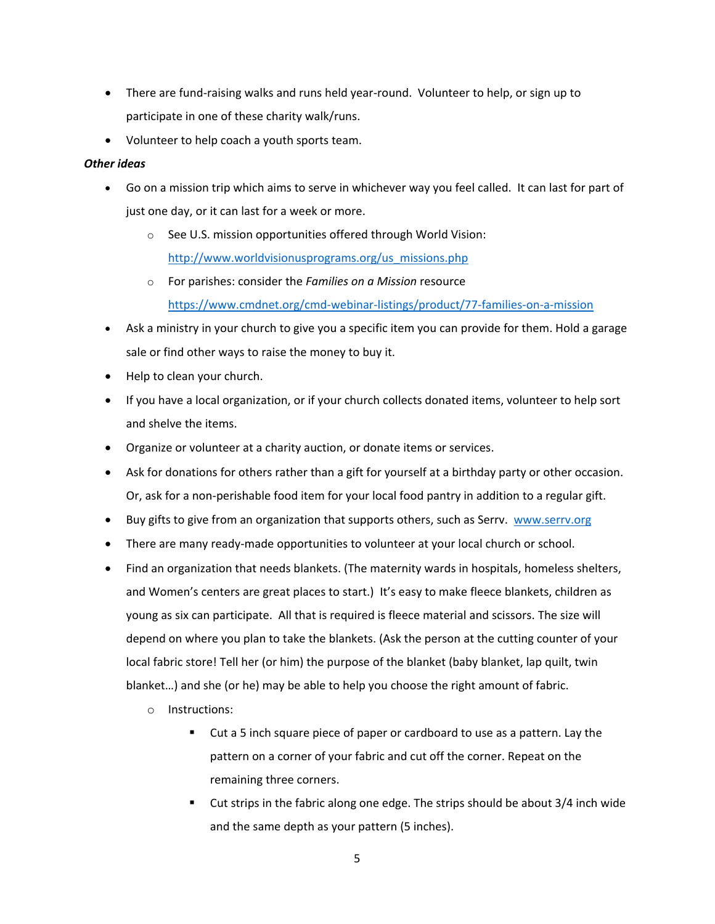- There are fund-raising walks and runs held year-round. Volunteer to help, or sign up to participate in one of these charity walk/runs.
- Volunteer to help coach a youth sports team.

#### *Other ideas*

- Go on a mission trip which aims to serve in whichever way you feel called. It can last for part of just one day, or it can last for a week or more.
	- o See U.S. mission opportunities offered through World Vision: [http://www.worldvisionusprograms.org/us\\_missions.php](http://www.worldvisionusprograms.org/us_missions.php)
	- o For parishes: consider the *Families on a Mission* resource <https://www.cmdnet.org/cmd-webinar-listings/product/77-families-on-a-mission>
- Ask a ministry in your church to give you a specific item you can provide for them. Hold a garage sale or find other ways to raise the money to buy it.
- Help to clean your church.
- If you have a local organization, or if your church collects donated items, volunteer to help sort and shelve the items.
- Organize or volunteer at a charity auction, or donate items or services.
- Ask for donations for others rather than a gift for yourself at a birthday party or other occasion. Or, ask for a non-perishable food item for your local food pantry in addition to a regular gift.
- Buy gifts to give from an organization that supports others, such as Serrv. [www.serrv.org](http://www.serrv.org/)
- There are many ready-made opportunities to volunteer at your local church or school.
- Find an organization that needs blankets. (The maternity wards in hospitals, homeless shelters, and Women's centers are great places to start.) It's easy to make fleece blankets, children as young as six can participate. All that is required is fleece material and scissors. The size will depend on where you plan to take the blankets. (Ask the person at the cutting counter of your local fabric store! Tell her (or him) the purpose of the blanket (baby blanket, lap quilt, twin blanket…) and she (or he) may be able to help you choose the right amount of fabric.
	- o Instructions:
		- Cut a 5 inch square piece of paper or cardboard to use as a pattern. Lay the pattern on a corner of your fabric and cut off the corner. Repeat on the remaining three corners.
		- Cut strips in the fabric along one edge. The strips should be about 3/4 inch wide and the same depth as your pattern (5 inches).